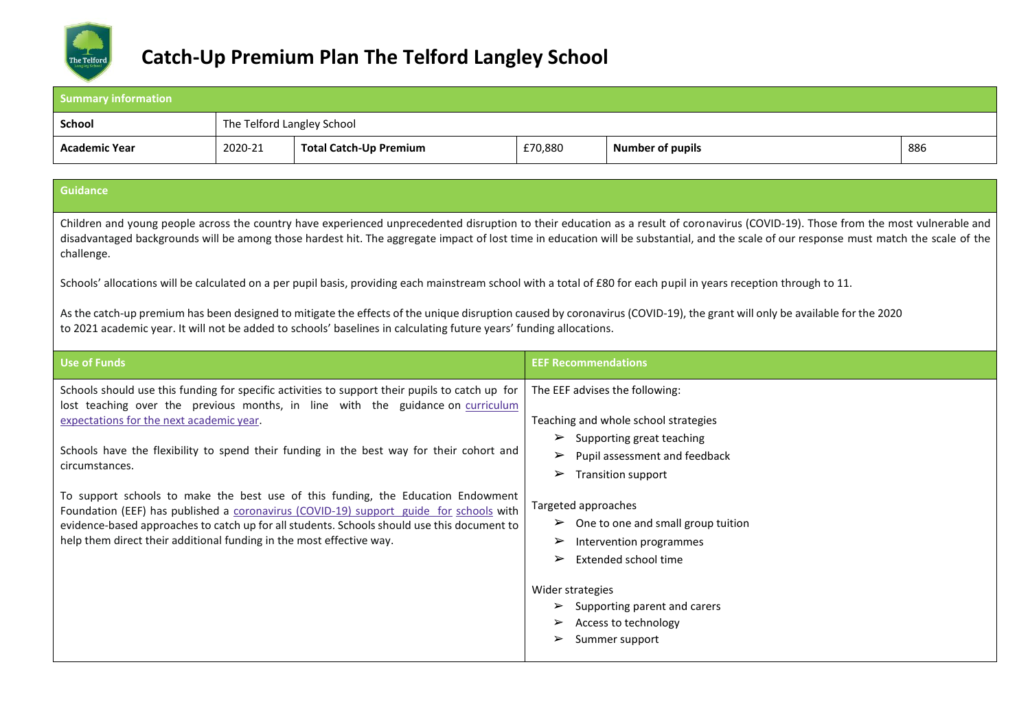

| <b>Summary information</b>                                                                                                                                                                                                                                                                                                                                                                                                                                                                                                                                                                                                                                                                        |                            |                               |                                                                                                                                                                                                                                                                                                                                              |                                                                                                                                                                     |     |  |
|---------------------------------------------------------------------------------------------------------------------------------------------------------------------------------------------------------------------------------------------------------------------------------------------------------------------------------------------------------------------------------------------------------------------------------------------------------------------------------------------------------------------------------------------------------------------------------------------------------------------------------------------------------------------------------------------------|----------------------------|-------------------------------|----------------------------------------------------------------------------------------------------------------------------------------------------------------------------------------------------------------------------------------------------------------------------------------------------------------------------------------------|---------------------------------------------------------------------------------------------------------------------------------------------------------------------|-----|--|
| <b>School</b>                                                                                                                                                                                                                                                                                                                                                                                                                                                                                                                                                                                                                                                                                     | The Telford Langley School |                               |                                                                                                                                                                                                                                                                                                                                              |                                                                                                                                                                     |     |  |
| <b>Academic Year</b>                                                                                                                                                                                                                                                                                                                                                                                                                                                                                                                                                                                                                                                                              | 2020-21                    | <b>Total Catch-Up Premium</b> | £70,880                                                                                                                                                                                                                                                                                                                                      | <b>Number of pupils</b>                                                                                                                                             | 886 |  |
|                                                                                                                                                                                                                                                                                                                                                                                                                                                                                                                                                                                                                                                                                                   |                            |                               |                                                                                                                                                                                                                                                                                                                                              |                                                                                                                                                                     |     |  |
| <b>Guidance</b>                                                                                                                                                                                                                                                                                                                                                                                                                                                                                                                                                                                                                                                                                   |                            |                               |                                                                                                                                                                                                                                                                                                                                              |                                                                                                                                                                     |     |  |
| Children and young people across the country have experienced unprecedented disruption to their education as a result of coronavirus (COVID-19). Those from the most vulnerable and<br>disadvantaged backgrounds will be among those hardest hit. The aggregate impact of lost time in education will be substantial, and the scale of our response must match the scale of the<br>challenge.                                                                                                                                                                                                                                                                                                     |                            |                               |                                                                                                                                                                                                                                                                                                                                              |                                                                                                                                                                     |     |  |
|                                                                                                                                                                                                                                                                                                                                                                                                                                                                                                                                                                                                                                                                                                   |                            |                               |                                                                                                                                                                                                                                                                                                                                              | Schools' allocations will be calculated on a per pupil basis, providing each mainstream school with a total of £80 for each pupil in years reception through to 11. |     |  |
| As the catch-up premium has been designed to mitigate the effects of the unique disruption caused by coronavirus (COVID-19), the grant will only be available for the 2020<br>to 2021 academic year. It will not be added to schools' baselines in calculating future years' funding allocations.                                                                                                                                                                                                                                                                                                                                                                                                 |                            |                               |                                                                                                                                                                                                                                                                                                                                              |                                                                                                                                                                     |     |  |
| <b>Use of Funds</b>                                                                                                                                                                                                                                                                                                                                                                                                                                                                                                                                                                                                                                                                               |                            |                               | <b>EEF Recommendations</b>                                                                                                                                                                                                                                                                                                                   |                                                                                                                                                                     |     |  |
| Schools should use this funding for specific activities to support their pupils to catch up for<br>lost teaching over the previous months, in line with the guidance on curriculum<br>expectations for the next academic year.<br>Schools have the flexibility to spend their funding in the best way for their cohort and<br>circumstances.<br>To support schools to make the best use of this funding, the Education Endowment<br>Foundation (EEF) has published a coronavirus (COVID-19) support guide for schools with<br>evidence-based approaches to catch up for all students. Schools should use this document to<br>help them direct their additional funding in the most effective way. |                            |                               | The EEF advises the following:<br>Teaching and whole school strategies<br>Supporting great teaching<br>➤<br>$\triangleright$ Pupil assessment and feedback<br>$\triangleright$ Transition support<br>Targeted approaches<br>$\triangleright$ One to one and small group tuition<br>Intervention programmes<br>➤<br>Extended school time<br>➤ |                                                                                                                                                                     |     |  |
|                                                                                                                                                                                                                                                                                                                                                                                                                                                                                                                                                                                                                                                                                                   |                            |                               | Wider strategies<br>➤                                                                                                                                                                                                                                                                                                                        | Supporting parent and carers<br>Access to technology<br>Summer support                                                                                              |     |  |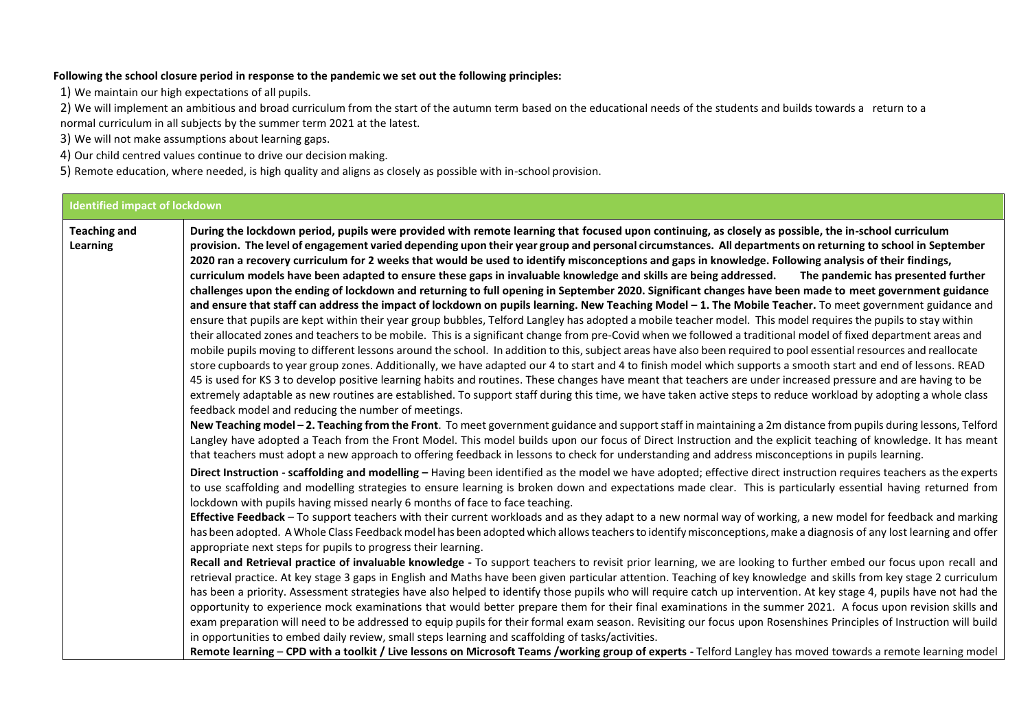## **Following the school closure period in response to the pandemic we set out the following principles:**

1) We maintain our high expectations of all pupils.

2) We will implement an ambitious and broad curriculum from the start of the autumn term based on the educational needs of the students and builds towards a return to a normal curriculum in all subjects by the summer term 2021 at the latest.

3) We will not make assumptions about learning gaps.

4) Our child centred values continue to drive our decision making.

5) Remote education, where needed, is high quality and aligns as closely as possible with in-school provision.

## **Identified impact of lockdown**

**Teaching and Learning During the lockdown period, pupils were provided with remote learning that focused upon continuing, as closely as possible, the in-school curriculum** provision. The level of engagement varied depending upon their year group and personal circumstances. All departments on returning to school in September **2020 ran a recovery curriculum for 2 weeks that would be used to identify misconceptions and gaps in knowledge. Following analysis of their findings, curriculum models have been adapted to ensure these gaps in invaluable knowledge and skills are being addressed. The pandemic has presented further challenges upon the ending of lockdown and returning to full opening in September 2020. Significant changes have been made to meet government guidance**  and ensure that staff can address the impact of lockdown on pupils learning. New Teaching Model – 1. The Mobile Teacher. To meet government guidance and ensure that pupils are kept within their year group bubbles, Telford Langley has adopted a mobile teacher model. This model requires the pupils to stay within their allocated zones and teachers to be mobile. This is a significant change from pre-Covid when we followed a traditional model of fixed department areas and mobile pupils moving to different lessons around the school. In addition to this,subject areas have also been required to pool essential resources and reallocate store cupboards to year group zones. Additionally, we have adapted our 4 to start and 4 to finish model which supports a smooth start and end of lessons. READ 45 is used for KS 3 to develop positive learning habits and routines. These changes have meant that teachers are under increased pressure and are having to be extremely adaptable as new routines are established. To support staff during this time, we have taken active steps to reduce workload by adopting a whole class feedback model and reducing the number of meetings. **New Teaching model – 2. Teaching from the Front**. To meet government guidance and supportstaff in maintaining a 2m distance from pupils during lessons, Telford Langley have adopted a Teach from the Front Model. This model builds upon our focus of Direct Instruction and the explicit teaching of knowledge. It has meant that teachers must adopt a new approach to offering feedback in lessons to check for understanding and address misconceptions in pupils learning. **Direct Instruction - scaffolding and modelling –** Having been identified as the model we have adopted; effective direct instruction requires teachers asthe experts to use scaffolding and modelling strategies to ensure learning is broken down and expectations made clear. This is particularly essential having returned from lockdown with pupils having missed nearly 6 months of face to face teaching. **Effective Feedback** – To support teachers with their current workloads and as they adapt to a new normal way of working, a new model for feedback and marking has been adopted. A Whole Class Feedback model has been adopted which allows teachers to identify misconceptions, make a diagnosis of any lost learning and offer appropriate next steps for pupils to progress their learning. **Recall and Retrieval practice of invaluable knowledge -** To support teachers to revisit prior learning, we are looking to further embed our focus upon recall and retrieval practice. At key stage 3 gaps in English and Maths have been given particular attention. Teaching of key knowledge and skills from key stage 2 curriculum has been a priority. Assessment strategies have also helped to identify those pupils who will require catch up intervention. At key stage 4, pupils have not had the opportunity to experience mock examinations that would better prepare them for their final examinations in the summer 2021. A focus upon revision skills and exam preparation will need to be addressed to equip pupils for their formal exam season. Revisiting our focus upon Rosenshines Principles of Instruction will build in opportunities to embed daily review, small steps learning and scaffolding of tasks/activities.

**Remote learning** – **CPD with a toolkit / Live lessons on Microsoft Teams /working group of experts -** Telford Langley has moved towards a remote learning model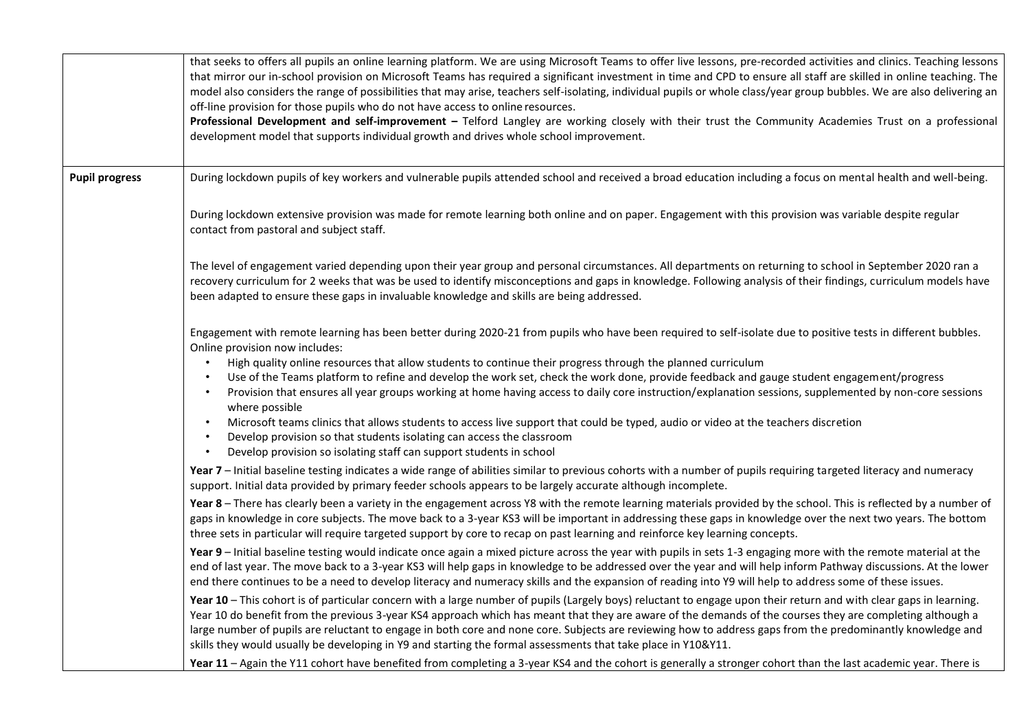|                       | that seeks to offers all pupils an online learning platform. We are using Microsoft Teams to offer live lessons, pre-recorded activities and clinics. Teaching lessons<br>that mirror our in-school provision on Microsoft Teams has required a significant investment in time and CPD to ensure all staff are skilled in online teaching. The<br>model also considers the range of possibilities that may arise, teachers self-isolating, individual pupils or whole class/year group bubbles. We are also delivering an<br>off-line provision for those pupils who do not have access to online resources.<br>Professional Development and self-improvement - Telford Langley are working closely with their trust the Community Academies Trust on a professional<br>development model that supports individual growth and drives whole school improvement.                                                                                                       |
|-----------------------|----------------------------------------------------------------------------------------------------------------------------------------------------------------------------------------------------------------------------------------------------------------------------------------------------------------------------------------------------------------------------------------------------------------------------------------------------------------------------------------------------------------------------------------------------------------------------------------------------------------------------------------------------------------------------------------------------------------------------------------------------------------------------------------------------------------------------------------------------------------------------------------------------------------------------------------------------------------------|
| <b>Pupil progress</b> | During lockdown pupils of key workers and vulnerable pupils attended school and received a broad education including a focus on mental health and well-being.                                                                                                                                                                                                                                                                                                                                                                                                                                                                                                                                                                                                                                                                                                                                                                                                        |
|                       | During lockdown extensive provision was made for remote learning both online and on paper. Engagement with this provision was variable despite regular<br>contact from pastoral and subject staff.                                                                                                                                                                                                                                                                                                                                                                                                                                                                                                                                                                                                                                                                                                                                                                   |
|                       | The level of engagement varied depending upon their year group and personal circumstances. All departments on returning to school in September 2020 ran a<br>recovery curriculum for 2 weeks that was be used to identify misconceptions and gaps in knowledge. Following analysis of their findings, curriculum models have<br>been adapted to ensure these gaps in invaluable knowledge and skills are being addressed.                                                                                                                                                                                                                                                                                                                                                                                                                                                                                                                                            |
|                       | Engagement with remote learning has been better during 2020-21 from pupils who have been required to self-isolate due to positive tests in different bubbles.<br>Online provision now includes:<br>High quality online resources that allow students to continue their progress through the planned curriculum<br>Use of the Teams platform to refine and develop the work set, check the work done, provide feedback and gauge student engagement/progress<br>Provision that ensures all year groups working at home having access to daily core instruction/explanation sessions, supplemented by non-core sessions<br>$\bullet$<br>where possible<br>Microsoft teams clinics that allows students to access live support that could be typed, audio or video at the teachers discretion<br>$\bullet$<br>Develop provision so that students isolating can access the classroom<br>$\bullet$<br>Develop provision so isolating staff can support students in school |
|                       | Year 7 - Initial baseline testing indicates a wide range of abilities similar to previous cohorts with a number of pupils requiring targeted literacy and numeracy<br>support. Initial data provided by primary feeder schools appears to be largely accurate although incomplete.                                                                                                                                                                                                                                                                                                                                                                                                                                                                                                                                                                                                                                                                                   |
|                       | Year 8 - There has clearly been a variety in the engagement across Y8 with the remote learning materials provided by the school. This is reflected by a number of<br>gaps in knowledge in core subjects. The move back to a 3-year KS3 will be important in addressing these gaps in knowledge over the next two years. The bottom<br>three sets in particular will require targeted support by core to recap on past learning and reinforce key learning concepts.                                                                                                                                                                                                                                                                                                                                                                                                                                                                                                  |
|                       | Year 9 - Initial baseline testing would indicate once again a mixed picture across the year with pupils in sets 1-3 engaging more with the remote material at the<br>end of last year. The move back to a 3-year KS3 will help gaps in knowledge to be addressed over the year and will help inform Pathway discussions. At the lower<br>end there continues to be a need to develop literacy and numeracy skills and the expansion of reading into Y9 will help to address some of these issues.                                                                                                                                                                                                                                                                                                                                                                                                                                                                    |
|                       | Year 10 - This cohort is of particular concern with a large number of pupils (Largely boys) reluctant to engage upon their return and with clear gaps in learning.<br>Year 10 do benefit from the previous 3-year KS4 approach which has meant that they are aware of the demands of the courses they are completing although a<br>large number of pupils are reluctant to engage in both core and none core. Subjects are reviewing how to address gaps from the predominantly knowledge and<br>skills they would usually be developing in Y9 and starting the formal assessments that take place in Y10&Y11.                                                                                                                                                                                                                                                                                                                                                       |
|                       | Year 11 - Again the Y11 cohort have benefited from completing a 3-year KS4 and the cohort is generally a stronger cohort than the last academic year. There is                                                                                                                                                                                                                                                                                                                                                                                                                                                                                                                                                                                                                                                                                                                                                                                                       |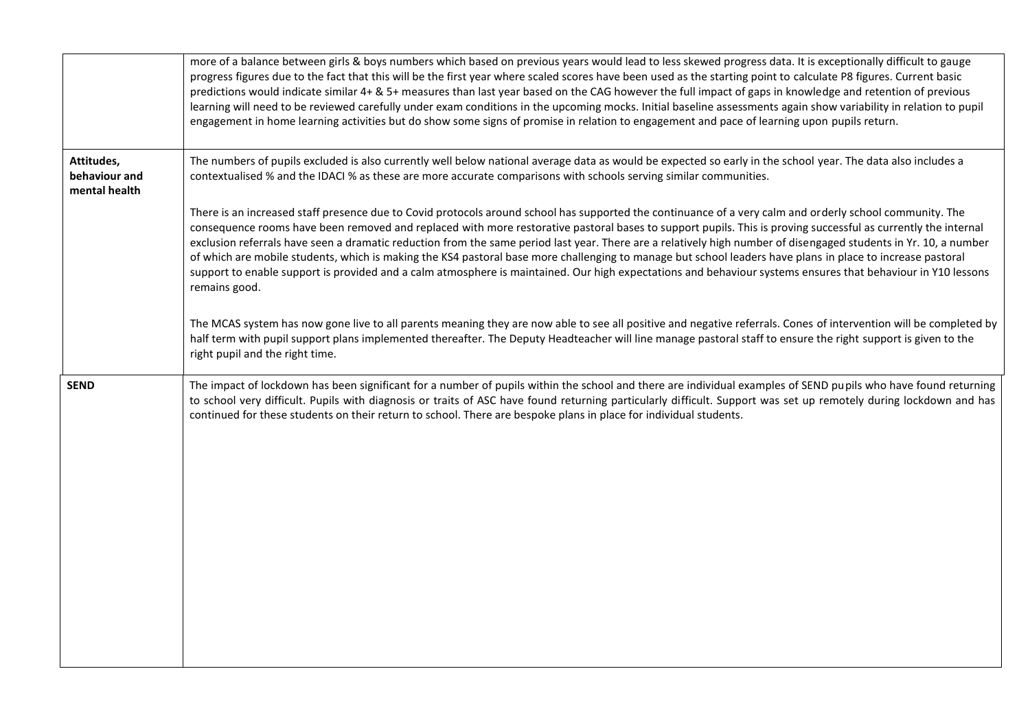|                                              | more of a balance between girls & boys numbers which based on previous years would lead to less skewed progress data. It is exceptionally difficult to gauge<br>progress figures due to the fact that this will be the first year where scaled scores have been used as the starting point to calculate P8 figures. Current basic<br>predictions would indicate similar 4+ & 5+ measures than last year based on the CAG however the full impact of gaps in knowledge and retention of previous<br>learning will need to be reviewed carefully under exam conditions in the upcoming mocks. Initial baseline assessments again show variability in relation to pupil<br>engagement in home learning activities but do show some signs of promise in relation to engagement and pace of learning upon pupils return.                          |
|----------------------------------------------|----------------------------------------------------------------------------------------------------------------------------------------------------------------------------------------------------------------------------------------------------------------------------------------------------------------------------------------------------------------------------------------------------------------------------------------------------------------------------------------------------------------------------------------------------------------------------------------------------------------------------------------------------------------------------------------------------------------------------------------------------------------------------------------------------------------------------------------------|
| Attitudes,<br>behaviour and<br>mental health | The numbers of pupils excluded is also currently well below national average data as would be expected so early in the school year. The data also includes a<br>contextualised % and the IDACI % as these are more accurate comparisons with schools serving similar communities.                                                                                                                                                                                                                                                                                                                                                                                                                                                                                                                                                            |
|                                              | There is an increased staff presence due to Covid protocols around school has supported the continuance of a very calm and orderly school community. The<br>consequence rooms have been removed and replaced with more restorative pastoral bases to support pupils. This is proving successful as currently the internal<br>exclusion referrals have seen a dramatic reduction from the same period last year. There are a relatively high number of disengaged students in Yr. 10, a number<br>of which are mobile students, which is making the KS4 pastoral base more challenging to manage but school leaders have plans in place to increase pastoral<br>support to enable support is provided and a calm atmosphere is maintained. Our high expectations and behaviour systems ensures that behaviour in Y10 lessons<br>remains good. |
|                                              | The MCAS system has now gone live to all parents meaning they are now able to see all positive and negative referrals. Cones of intervention will be completed by<br>half term with pupil support plans implemented thereafter. The Deputy Headteacher will line manage pastoral staff to ensure the right support is given to the<br>right pupil and the right time.                                                                                                                                                                                                                                                                                                                                                                                                                                                                        |
| <b>SEND</b>                                  | The impact of lockdown has been significant for a number of pupils within the school and there are individual examples of SEND pupils who have found returning<br>to school very difficult. Pupils with diagnosis or traits of ASC have found returning particularly difficult. Support was set up remotely during lockdown and has<br>continued for these students on their return to school. There are bespoke plans in place for individual students.                                                                                                                                                                                                                                                                                                                                                                                     |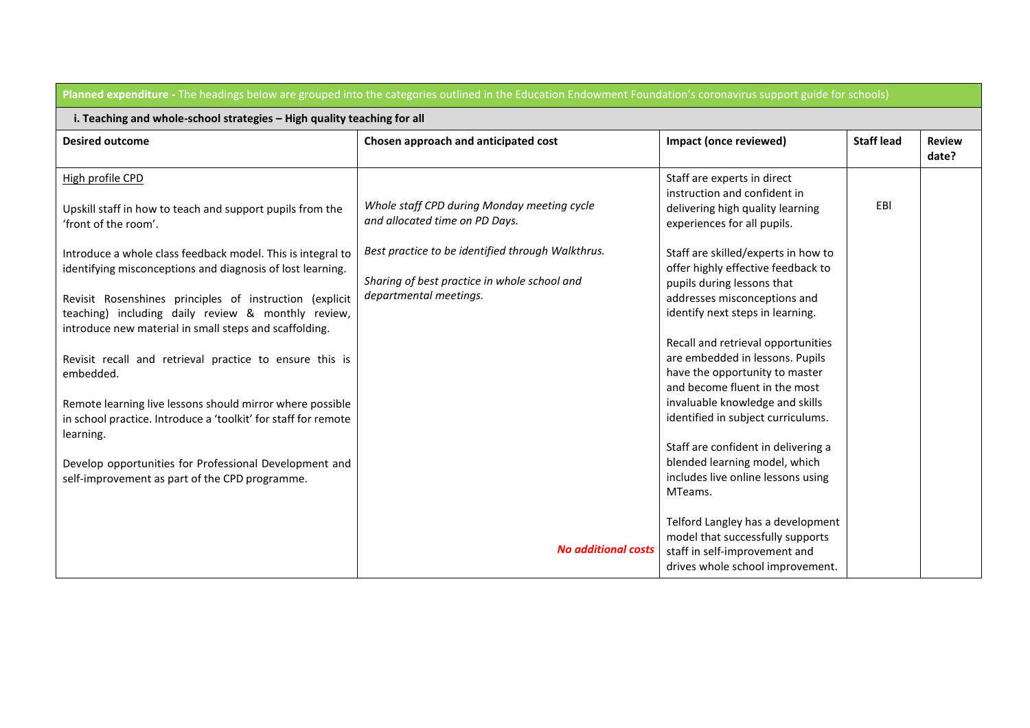| Planned expenditure - The headings below are grouped into the categories outlined in the Education Endowment Foundation's coronavirus support guide for schools)                     |                                                                                                                             |                                                                                                                                            |                   |                        |  |
|--------------------------------------------------------------------------------------------------------------------------------------------------------------------------------------|-----------------------------------------------------------------------------------------------------------------------------|--------------------------------------------------------------------------------------------------------------------------------------------|-------------------|------------------------|--|
| i. Teaching and whole-school strategies - High quality teaching for all                                                                                                              |                                                                                                                             |                                                                                                                                            |                   |                        |  |
| <b>Desired outcome</b>                                                                                                                                                               | Chosen approach and anticipated cost                                                                                        | Impact (once reviewed)                                                                                                                     | <b>Staff lead</b> | <b>Review</b><br>date? |  |
| High profile CPD<br>Upskill staff in how to teach and support pupils from the<br>'front of the room'.                                                                                | Whole staff CPD during Monday meeting cycle<br>and allocated time on PD Days.                                               | Staff are experts in direct<br>instruction and confident in<br>delivering high quality learning<br>experiences for all pupils.             | EBI               |                        |  |
| Introduce a whole class feedback model. This is integral to<br>identifying misconceptions and diagnosis of lost learning.<br>Revisit Rosenshines principles of instruction (explicit | Best practice to be identified through Walkthrus.<br>Sharing of best practice in whole school and<br>departmental meetings. | Staff are skilled/experts in how to<br>offer highly effective feedback to<br>pupils during lessons that<br>addresses misconceptions and    |                   |                        |  |
| teaching) including daily review & monthly review,<br>introduce new material in small steps and scaffolding.                                                                         |                                                                                                                             | identify next steps in learning.<br>Recall and retrieval opportunities                                                                     |                   |                        |  |
| Revisit recall and retrieval practice to ensure this is<br>embedded.                                                                                                                 |                                                                                                                             | are embedded in lessons. Pupils<br>have the opportunity to master<br>and become fluent in the most                                         |                   |                        |  |
| Remote learning live lessons should mirror where possible<br>in school practice. Introduce a 'toolkit' for staff for remote<br>learning.                                             |                                                                                                                             | invaluable knowledge and skills<br>identified in subject curriculums.                                                                      |                   |                        |  |
| Develop opportunities for Professional Development and<br>self-improvement as part of the CPD programme.                                                                             |                                                                                                                             | Staff are confident in delivering a<br>blended learning model, which<br>includes live online lessons using<br>MTeams.                      |                   |                        |  |
|                                                                                                                                                                                      | <b>No additional costs</b>                                                                                                  | Telford Langley has a development<br>model that successfully supports<br>staff in self-improvement and<br>drives whole school improvement. |                   |                        |  |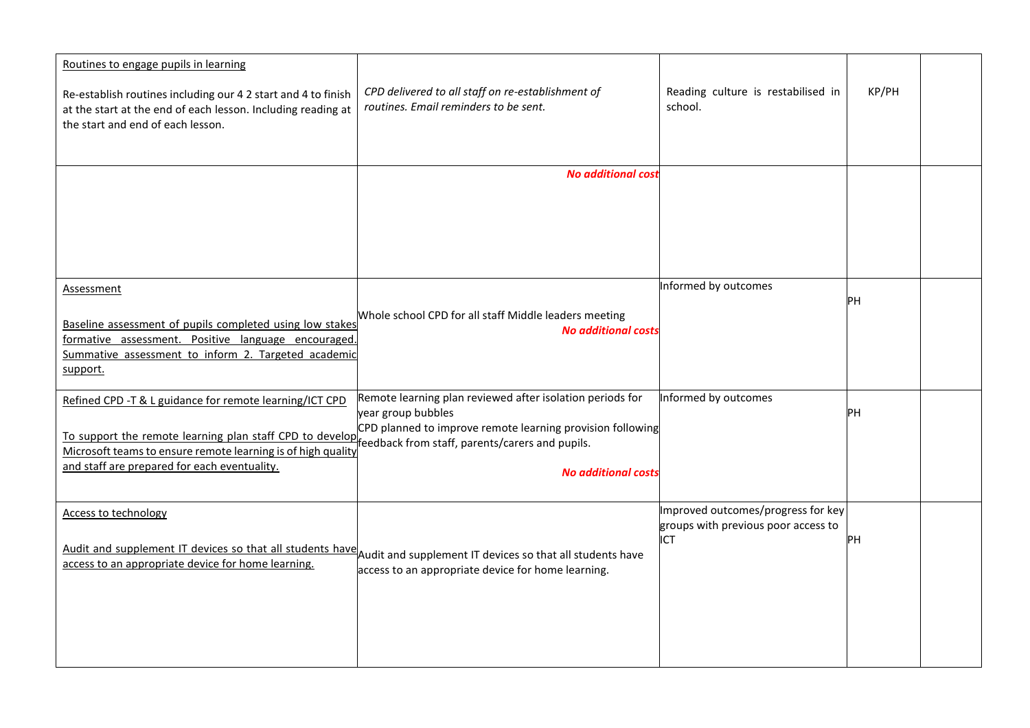| Routines to engage pupils in learning<br>Re-establish routines including our 4 2 start and 4 to finish<br>at the start at the end of each lesson. Including reading at<br>the start and end of each lesson. | CPD delivered to all staff on re-establishment of<br>routines. Email reminders to be sent.                                                    | Reading culture is restabilised in<br>school.                             | KP/PH |  |
|-------------------------------------------------------------------------------------------------------------------------------------------------------------------------------------------------------------|-----------------------------------------------------------------------------------------------------------------------------------------------|---------------------------------------------------------------------------|-------|--|
|                                                                                                                                                                                                             | <b>No additional cost</b>                                                                                                                     |                                                                           |       |  |
|                                                                                                                                                                                                             |                                                                                                                                               |                                                                           |       |  |
| <b>Assessment</b>                                                                                                                                                                                           |                                                                                                                                               | Informed by outcomes                                                      |       |  |
| Baseline assessment of pupils completed using low stakes<br>formative assessment. Positive language encouraged.<br>Summative assessment to inform 2. Targeted academic<br>support.                          | Whole school CPD for all staff Middle leaders meeting<br><b>No additional costs</b>                                                           |                                                                           | PН    |  |
| Refined CPD -T & L guidance for remote learning/ICT CPD<br>To support the remote learning plan staff CPD to developer represents/carers and pupils.                                                         | Remote learning plan reviewed after isolation periods for<br>year group bubbles<br>CPD planned to improve remote learning provision following | Informed by outcomes                                                      | PН    |  |
| Microsoft teams to ensure remote learning is of high quality<br>and staff are prepared for each eventuality.                                                                                                | <b>No additional costs</b>                                                                                                                    |                                                                           |       |  |
| <b>Access to technology</b>                                                                                                                                                                                 |                                                                                                                                               | Improved outcomes/progress for key<br>groups with previous poor access to |       |  |
| Audit and supplement IT devices so that all students have Audit and supplement IT devices so that all students have<br>access to an appropriate device for home learning.                                   | access to an appropriate device for home learning.                                                                                            | ICT                                                                       | PН    |  |
|                                                                                                                                                                                                             |                                                                                                                                               |                                                                           |       |  |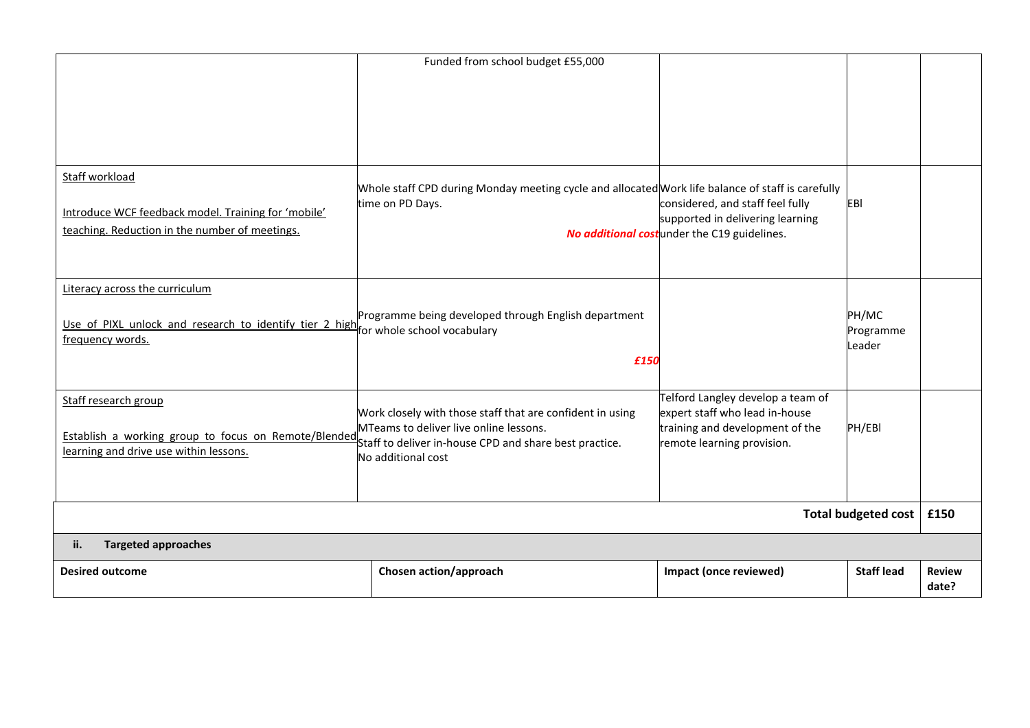|                                                                                                                                           | Funded from school budget £55,000                                                                                                                                                   |                                                                                                                                      |                              |                        |
|-------------------------------------------------------------------------------------------------------------------------------------------|-------------------------------------------------------------------------------------------------------------------------------------------------------------------------------------|--------------------------------------------------------------------------------------------------------------------------------------|------------------------------|------------------------|
|                                                                                                                                           |                                                                                                                                                                                     |                                                                                                                                      |                              |                        |
|                                                                                                                                           |                                                                                                                                                                                     |                                                                                                                                      |                              |                        |
|                                                                                                                                           |                                                                                                                                                                                     |                                                                                                                                      |                              |                        |
| Staff workload<br>Introduce WCF feedback model. Training for 'mobile'<br>teaching. Reduction in the number of meetings.                   | Whole staff CPD during Monday meeting cycle and allocated Work life balance of staff is carefully<br>time on PD Days.                                                               | considered, and staff feel fully<br>supported in delivering learning<br>No additional costunder the C19 guidelines.                  | EBI                          |                        |
| Literacy across the curriculum<br>Use of PIXL unlock and research to identify tier 2 high for whole school vocabulary<br>frequency words. | Programme being developed through English department<br>£150                                                                                                                        |                                                                                                                                      | PH/MC<br>Programme<br>Leader |                        |
| Staff research group<br>Establish a working group to focus on Remote/Blended<br>learning and drive use within lessons.                    | Work closely with those staff that are confident in using<br>MTeams to deliver live online lessons.<br>Staff to deliver in-house CPD and share best practice.<br>No additional cost | Telford Langley develop a team of<br>expert staff who lead in-house<br>training and development of the<br>remote learning provision. | PH/EBI                       |                        |
| Total budgeted cost                                                                                                                       |                                                                                                                                                                                     |                                                                                                                                      |                              | £150                   |
| <b>Targeted approaches</b><br>ii.                                                                                                         |                                                                                                                                                                                     |                                                                                                                                      |                              |                        |
| <b>Desired outcome</b>                                                                                                                    | Chosen action/approach                                                                                                                                                              | Impact (once reviewed)                                                                                                               | <b>Staff lead</b>            | <b>Review</b><br>date? |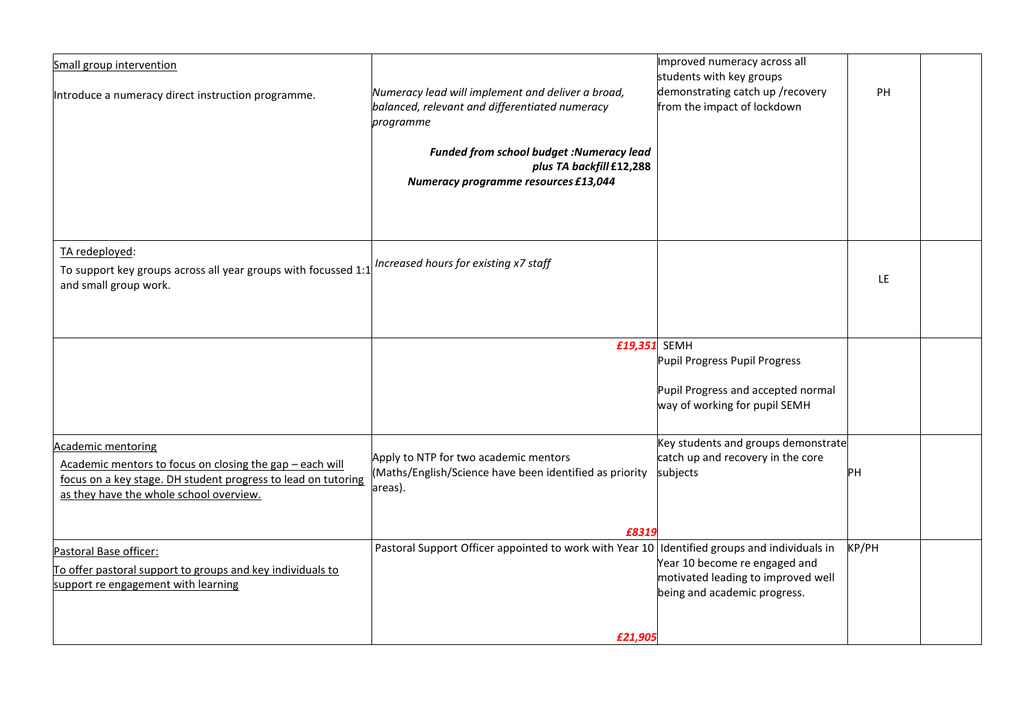| Small group intervention                                       |                                                                                              | Improved numeracy across all        |           |  |
|----------------------------------------------------------------|----------------------------------------------------------------------------------------------|-------------------------------------|-----------|--|
|                                                                |                                                                                              | students with key groups            |           |  |
| Introduce a numeracy direct instruction programme.             | Numeracy lead will implement and deliver a broad,                                            | demonstrating catch up /recovery    | <b>PH</b> |  |
|                                                                | balanced, relevant and differentiated numeracy                                               | from the impact of lockdown         |           |  |
|                                                                | programme                                                                                    |                                     |           |  |
|                                                                |                                                                                              |                                     |           |  |
|                                                                | <b>Funded from school budget :Numeracy lead</b>                                              |                                     |           |  |
|                                                                | plus TA backfill £12,288                                                                     |                                     |           |  |
|                                                                |                                                                                              |                                     |           |  |
|                                                                | Numeracy programme resources £13,044                                                         |                                     |           |  |
|                                                                |                                                                                              |                                     |           |  |
|                                                                |                                                                                              |                                     |           |  |
|                                                                |                                                                                              |                                     |           |  |
| TA redeployed:                                                 |                                                                                              |                                     |           |  |
|                                                                | Increased hours for existing x7 staff                                                        |                                     |           |  |
| To support key groups across all year groups with focussed 1:1 |                                                                                              |                                     | LE.       |  |
| and small group work.                                          |                                                                                              |                                     |           |  |
|                                                                |                                                                                              |                                     |           |  |
|                                                                |                                                                                              |                                     |           |  |
|                                                                |                                                                                              |                                     |           |  |
|                                                                | £19,351 SEMH                                                                                 |                                     |           |  |
|                                                                |                                                                                              | Pupil Progress Pupil Progress       |           |  |
|                                                                |                                                                                              |                                     |           |  |
|                                                                |                                                                                              | Pupil Progress and accepted normal  |           |  |
|                                                                |                                                                                              | way of working for pupil SEMH       |           |  |
|                                                                |                                                                                              |                                     |           |  |
|                                                                |                                                                                              |                                     |           |  |
| Academic mentoring                                             |                                                                                              | Key students and groups demonstrate |           |  |
| Academic mentors to focus on closing the gap - each will       | Apply to NTP for two academic mentors                                                        | catch up and recovery in the core   |           |  |
| focus on a key stage. DH student progress to lead on tutoring  | (Maths/English/Science have been identified as priority                                      | subjects                            | <b>PH</b> |  |
| as they have the whole school overview.                        | areas).                                                                                      |                                     |           |  |
|                                                                |                                                                                              |                                     |           |  |
|                                                                |                                                                                              |                                     |           |  |
|                                                                | £8319                                                                                        |                                     |           |  |
| Pastoral Base officer:                                         | Pastoral Support Officer appointed to work with Year 10 Identified groups and individuals in |                                     | KP/PH     |  |
| To offer pastoral support to groups and key individuals to     |                                                                                              | Year 10 become re engaged and       |           |  |
| support re engagement with learning                            |                                                                                              | motivated leading to improved well  |           |  |
|                                                                |                                                                                              | being and academic progress.        |           |  |
|                                                                |                                                                                              |                                     |           |  |
|                                                                |                                                                                              |                                     |           |  |
|                                                                | £21,905                                                                                      |                                     |           |  |